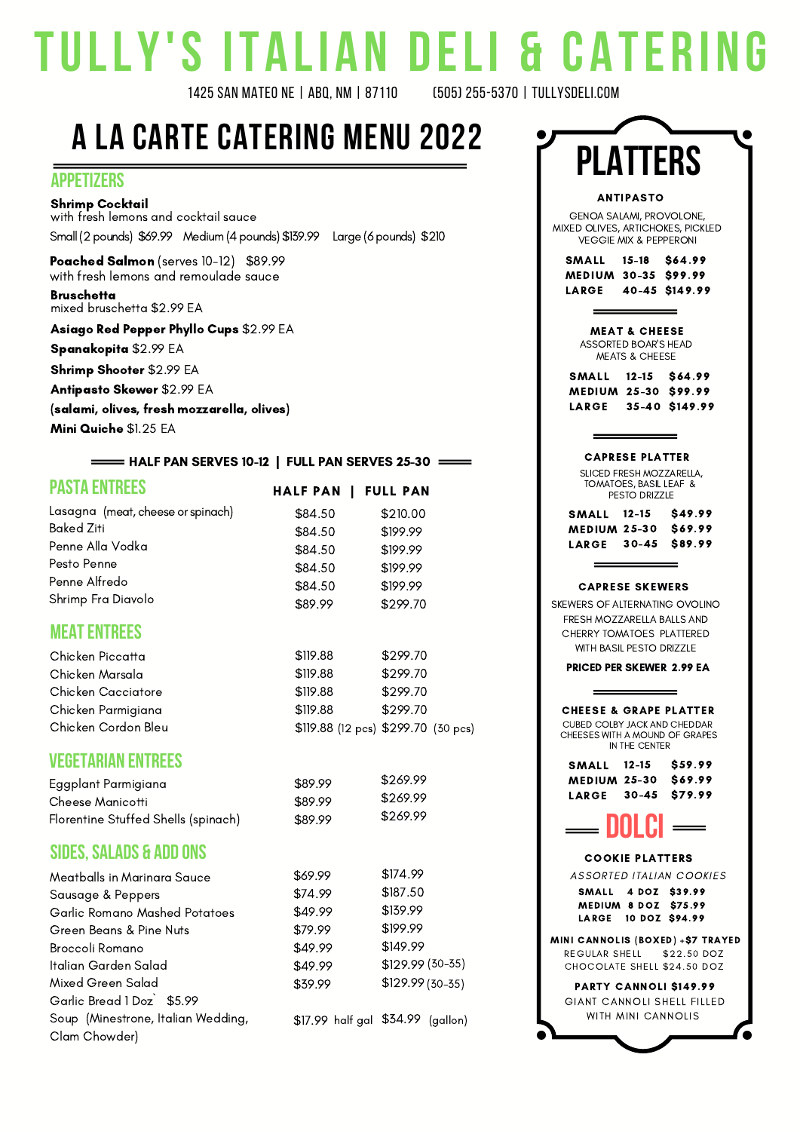# **TULLY'S ITALIAN DELI & CATE R ING**

1425 SAN MATEO NE | ABQ, NM | 87110

# **A LA CARTE CATERING MENU 2022**

#### **APPETIZERS**

Shrimp Cocktail with fresh lemons and cocktail sauce Small (2 pounds) \$69.99 Medium (4 pounds) \$139.99 Large (6 pounds) \$210

Poached Salmon (serves 10-12) \$89.99 with fresh lemons and remoulade sauce

**Bruschetta** mixed bruschetta \$2.99 EA

Asiago Red Pepper Phyllo Cups \$2.99 EA

Spanakopita \$2.99 EA

Shrimp Shooter \$2.99 EA

Antipasto Skewer \$2.99 EA

(salami, olives, fresh mozzarella, olives)

Mini Quiche \$1.25 EA

#### $=$  HALF PAN SERVES 10-12 | FULL PAN SERVES 25-30  $=$

|  |  | <b>PASTA ENTREES</b> |
|--|--|----------------------|
|  |  |                      |
|  |  |                      |

|  | HALF PAN   FULL PAN |  |  |
|--|---------------------|--|--|
|  |                     |  |  |

| Lasagna (meat, cheese or spinach) | \$84.50 | \$210.00 |
|-----------------------------------|---------|----------|
| <b>Baked Ziti</b>                 | \$84.50 | \$199.99 |
| Penne Alla Vodka                  | \$84.50 | \$199.99 |
| Pesto Penne                       | \$84.50 | \$199.99 |
| Penne Alfredo                     | \$84.50 | \$199.99 |
| Shrimp Fra Diavolo                | \$89.99 | \$299.70 |

#### **MEATENTREES**

Chicken Piccatta Chicken Marsala Chicken Cacciatore Chicken Parmigiana Chicken Cordon Bleu

#### **VEGETARIAN ENTREES**

| Eggplant Parmigiana                 |
|-------------------------------------|
| Cheese Manicotti                    |
| Florentine Stuffed Shells (spinach) |

#### **SIDES,SALADS & ADD ONS**

| Meatballs in Marinara Sauce        |
|------------------------------------|
| Sausage & Peppers                  |
| Garlic Romano Mashed Potatoes      |
| Green Beans & Pine Nuts            |
| Broccoli Romano                    |
| Italian Garden Salad               |
| Mixed Green Salad                  |
| Garlic Bread 1 Doz \$5.99          |
| Soup (Minestrone, Italian Wedding, |
| Clam Chowder)                      |

| \$69.99 | \$174.99         |
|---------|------------------|
| \$74.99 | \$187.50         |
| \$49.99 | \$139.99         |
| \$79.99 | \$199.99         |
| \$49.99 | \$149.99         |
| \$49.99 | \$129.99 (30-35) |
|         |                  |

\$269.99 \$269.99 \$269.99

\$299.70 \$299.70 \$299.70 \$299.70

\$119.88 \$299.70 (12 pcs) (30 pcs)

\$89.99 \$89.99 \$89.99

\$39.99

\$119.88 \$119.88 \$119.88 \$119.88

\$17.99 \$34.99 half gal (gallon)

\$129.99 (30-35)

| <b>PLATTERS</b>                                                                                                                                 |
|-------------------------------------------------------------------------------------------------------------------------------------------------|
| <b>ANTIPASTO</b><br>GENOA SALAMI, PROVOLONE,<br>MIXED OLIVES, ARTICHOKES, PICKLED<br><b>VEGGIE MIX &amp; PEPPERONI</b>                          |
| SMALL 15-18 \$64.99<br>MEDIUM 30-35 \$99.99<br>LARGE 40-45 \$149.99                                                                             |
| <b>MEAT &amp; CHEESE</b><br><b>ASSORTED BOAR'S HEAD</b><br><b>MEATS &amp; CHEESE</b>                                                            |
| SMALL 12-15 \$64.99<br>MEDIUM 25-30 \$99.99<br>LARGE 35-40 \$149.99                                                                             |
| <b>CAPRESE PLATTER</b>                                                                                                                          |
| SLICED FRESH MOZZARELLA,<br>TOMATOES, BASIL LEAF &<br>PESTO DRIZZLE<br>SMALL 12-15 \$49.99                                                      |
| MEDIUM 25-30 \$69.99<br>LARGE 30-45 \$89.99                                                                                                     |
| <b>CAPRESE SKEWERS</b><br>SKEWERS OF ALTERNATING OVOLINO<br>FRESH MOZZARELLA BALLS AND<br>CHERRY TOMATOES PLATTERED<br>WITH BASIL PESTO DRIZZLE |
| <b>PRICED PER SKEWER 2.99 EA</b>                                                                                                                |
| <b>CHEESE &amp; GRAPE PLATTER</b><br>CUBED COLBY JACK AND CHEDDAR<br>CHEESES WITH A MOUND OF GRAPES<br>IN THE CENTER                            |
| SMALL 12-15 \$59.99<br>MEDIUM 25-30 \$69.99<br>LARGE 30-45 \$79.99                                                                              |
| DOLCI                                                                                                                                           |
| <b>COOKIE PLATTERS</b><br><b>ASSORTED ITALIAN COOKIES</b><br>SMALL 4 DOZ \$39.99<br><b>MEDIUM 8 DOZ \$75.99</b><br>LARGE 10 DOZ \$94.99         |
| MINI CANNOLIS (BOXED) +\$7 TRAYED<br>REGULAR SHELL \$22.50 DOZ<br>CHOCOLATE SHELL \$24.50 DOZ                                                   |
| PARTY CANNOLI \$149.99<br>GIANT CANNOLI SHELL FILLED<br>WITH MINI CANNOLIS                                                                      |